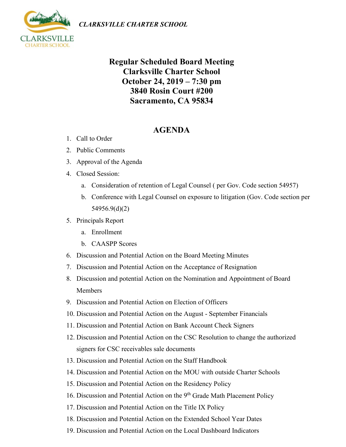

## **Regular Scheduled Board Meeting Clarksville Charter School October 24, 2019 – 7:30 pm 3840 Rosin Court #200 Sacramento, CA 95834**

## **AGENDA**

- 1. Call to Order
- 2. Public Comments
- 3. Approval of the Agenda
- 4. Closed Session:
	- a. Consideration of retention of Legal Counsel ( per Gov. Code section 54957)
	- b. Conference with Legal Counsel on exposure to litigation (Gov. Code section per 54956.9(d)(2)
- 5. Principals Report
	- a. Enrollment
	- b. CAASPP Scores
- 6. Discussion and Potential Action on the Board Meeting Minutes
- 7. Discussion and Potential Action on the Acceptance of Resignation
- 8. Discussion and potential Action on the Nomination and Appointment of Board Members
- 9. Discussion and Potential Action on Election of Officers
- 10. Discussion and Potential Action on the August September Financials
- 11. Discussion and Potential Action on Bank Account Check Signers
- 12. Discussion and Potential Action on the CSC Resolution to change the authorized signers for CSC receivables sale documents
- 13. Discussion and Potential Action on the Staff Handbook
- 14. Discussion and Potential Action on the MOU with outside Charter Schools
- 15. Discussion and Potential Action on the Residency Policy
- 16. Discussion and Potential Action on the 9<sup>th</sup> Grade Math Placement Policy
- 17. Discussion and Potential Action on the Title IX Policy
- 18. Discussion and Potential Action on the Extended School Year Dates
- 19. Discussion and Potential Action on the Local Dashboard Indicators